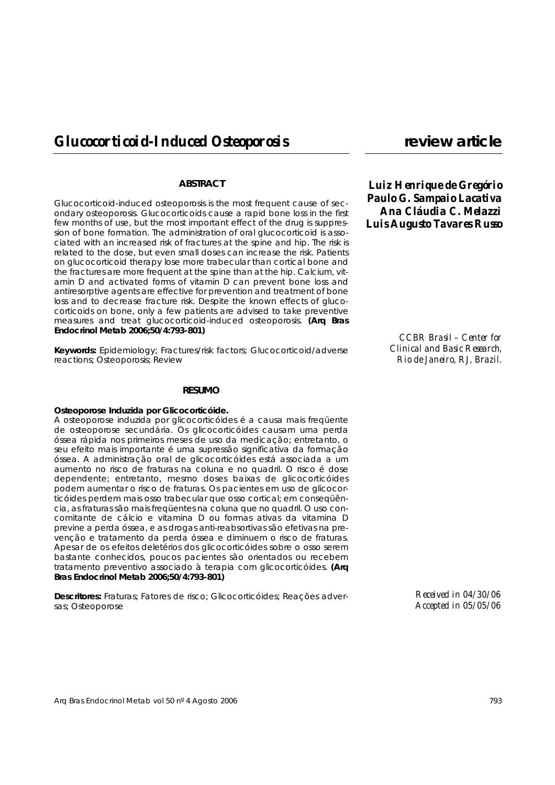# **ABSTRACT**

Glucocorticoid-induced osteoporosis is the most frequent cause of secondary osteoporosis. Glucocorticoids cause a rapid bone loss in the first few months of use, but the most important effect of the drug is suppression of bone formation. The administration of oral glucocorticoid is associated with an increased risk of fractures at the spine and hip. The risk is related to the dose, but even small doses can increase the risk. Patients on glucocorticoid therapy lose more trabecular than cortical bone and the fractures are more frequent at the spine than at the hip. Calcium, vitamin D and activated forms of vitamin D can prevent bone loss and antiresorptive agents are effective for prevention and treatment of bone loss and to decrease fracture risk. Despite the known effects of glucocorticoids on bone, only a few patients are advised to take preventive measures and treat glucocorticoid-induced osteoporosis. **(Arq Bras Endocrinol Metab 2006;50/4:793-801)**

**Keywords:** Epidemiology; Fractures/risk factors; Glucocorticoid/adverse reactions; Osteoporosis; Review

#### **RESUMO**

#### **Osteoporose Induzida por Glicocorticóide.**

A osteoporose induzida por glicocorticóides é a causa mais freqüente de osteoporose secundária. Os glicocorticóides causam uma perda óssea rápida nos primeiros meses de uso da medicação; entretanto, o seu efeito mais importante é uma supressão significativa da formação óssea. A administração oral de glicocorticóides está associada a um aumento no risco de fraturas na coluna e no quadril. O risco é dose dependente; entretanto, mesmo doses baixas de glicocorticóides podem aumentar o risco de fraturas. Os pacientes em uso de glicocorticóides perdem mais osso trabecular que osso cortical; em conseqüência, as fraturas são mais freqüentes na coluna que no quadril. O uso concomitante de cálcio e vitamina D ou formas ativas da vitamina D previne a perda óssea, e as drogas anti-reabsortivas são efetivas na prevenção e tratamento da perda óssea e diminuem o risco de fraturas. Apesar de os efeitos deletérios dos glicocorticóides sobre o osso serem bastante conhecidos, poucos pacientes são orientados ou recebem tratamento preventivo associado à terapia com glicocorticóides. **(Arq Bras Endocrinol Metab 2006;50/4:793-801)**

**Descritores:** Fraturas; Fatores de risco; Glicocorticóides; Reações adversas; Osteoporose

*Luiz Henrique de Gregório Paulo G. Sampaio Lacativa Ana Cláudia C. Melazzi Luis Augusto Tavares Russo*

> *CCBR Brasil – Center for Clinical and Basic Research, Rio de Janeiro, RJ, Brazil.*

> > *Received in 04/30/06 Accepted in 05/05/06*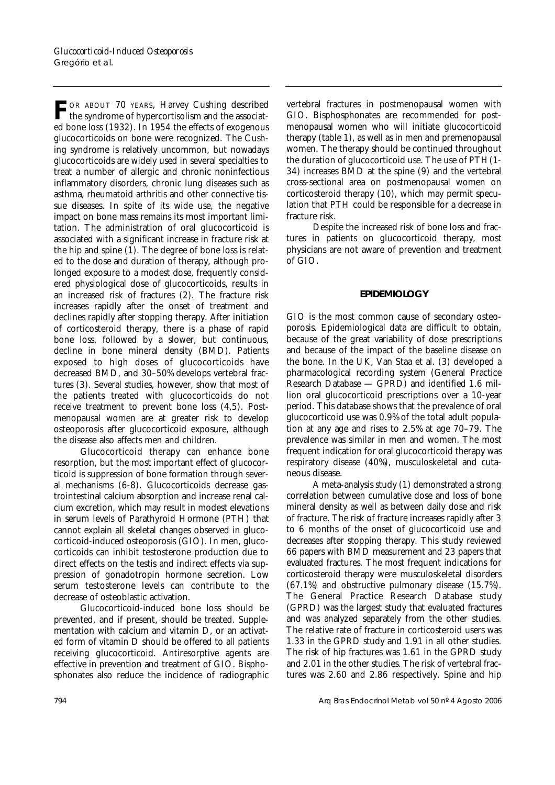FOR ABOUT 70 YEARS, Harvey Cushing described<br>the syndrome of hypercortisolism and the associated bone loss (1932). In 1954 the effects of exogenous glucocorticoids on bone were recognized. The Cushing syndrome is relatively uncommon, but nowadays glucocorticoids are widely used in several specialties to treat a number of allergic and chronic noninfectious inflammatory disorders, chronic lung diseases such as asthma, rheumatoid arthritis and other connective tissue diseases. In spite of its wide use, the negative impact on bone mass remains its most important limitation. The administration of oral glucocorticoid is associated with a significant increase in fracture risk at the hip and spine (1). The degree of bone loss is related to the dose and duration of therapy, although prolonged exposure to a modest dose, frequently considered physiological dose of glucocorticoids, results in an increased risk of fractures (2). The fracture risk increases rapidly after the onset of treatment and declines rapidly after stopping therapy. After initiation of corticosteroid therapy, there is a phase of rapid bone loss, followed by a slower, but continuous, decline in bone mineral density (BMD). Patients exposed to high doses of glucocorticoids have decreased BMD, and 30–50% develops vertebral fractures (3). Several studies, however, show that most of the patients treated with glucocorticoids do not receive treatment to prevent bone loss (4,5). Postmenopausal women are at greater risk to develop osteoporosis after glucocorticoid exposure, although the disease also affects men and children.

Glucocorticoid therapy can enhance bone resorption, but the most important effect of glucocorticoid is suppression of bone formation through several mechanisms (6-8). Glucocorticoids decrease gastrointestinal calcium absorption and increase renal calcium excretion, which may result in modest elevations in serum levels of Parathyroid Hormone (PTH) that cannot explain all skeletal changes observed in glucocorticoid-induced osteoporosis (GIO). In men, glucocorticoids can inhibit testosterone production due to direct effects on the testis and indirect effects via suppression of gonadotropin hormone secretion. Low serum testosterone levels can contribute to the decrease of osteoblastic activation.

Glucocorticoid-induced bone loss should be prevented, and if present, should be treated. Supplementation with calcium and vitamin D, or an activated form of vitamin D should be offered to all patients receiving glucocorticoid. Antiresorptive agents are effective in prevention and treatment of GIO. Bisphosphonates also reduce the incidence of radiographic

vertebral fractures in postmenopausal women with GIO. Bisphosphonates are recommended for postmenopausal women who will initiate glucocorticoid therapy (table 1), as well as in men and premenopausal women. The therapy should be continued throughout the duration of glucocorticoid use. The use of PTH(1- 34) increases BMD at the spine (9) and the vertebral cross-sectional area on postmenopausal women on corticosteroid therapy (10), which may permit speculation that PTH could be responsible for a decrease in fracture risk.

Despite the increased risk of bone loss and fractures in patients on glucocorticoid therapy, most physicians are not aware of prevention and treatment of GIO.

### **EPIDEMIOLOGY**

GIO is the most common cause of secondary osteoporosis. Epidemiological data are difficult to obtain, because of the great variability of dose prescriptions and because of the impact of the baseline disease on the bone. In the UK, Van Staa et al. (3) developed a pharmacological recording system (General Practice Research Database — GPRD) and identified 1.6 million oral glucocorticoid prescriptions over a 10-year period. This database shows that the prevalence of oral glucocorticoid use was 0.9% of the total adult population at any age and rises to 2.5% at age 70–79. The prevalence was similar in men and women. The most frequent indication for oral glucocorticoid therapy was respiratory disease (40%), musculoskeletal and cutaneous disease.

A meta-analysis study (1) demonstrated a strong correlation between cumulative dose and loss of bone mineral density as well as between daily dose and risk of fracture. The risk of fracture increases rapidly after 3 to 6 months of the onset of glucocorticoid use and decreases after stopping therapy. This study reviewed 66 papers with BMD measurement and 23 papers that evaluated fractures. The most frequent indications for corticosteroid therapy were musculoskeletal disorders (67.1%) and obstructive pulmonary disease (15.7%). The General Practice Research Database study (GPRD) was the largest study that evaluated fractures and was analyzed separately from the other studies. The relative rate of fracture in corticosteroid users was 1.33 in the GPRD study and 1.91 in all other studies. The risk of hip fractures was 1.61 in the GPRD study and 2.01 in the other studies. The risk of vertebral fractures was 2.60 and 2.86 respectively. Spine and hip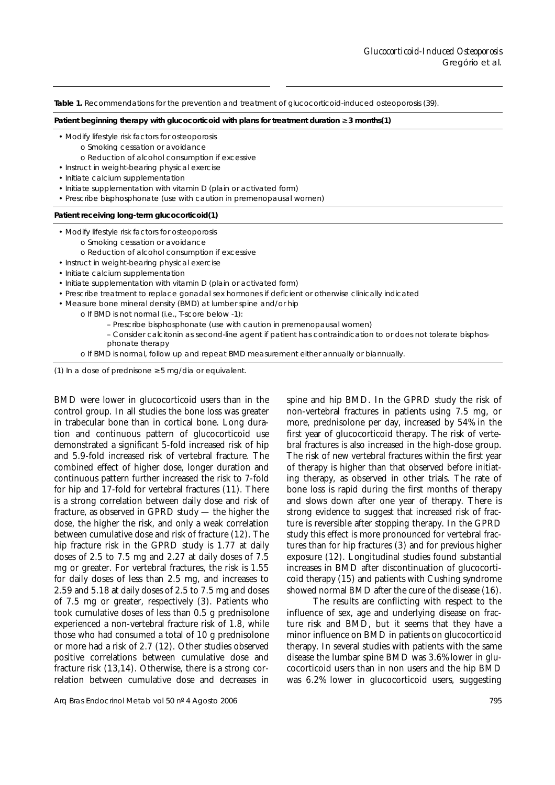**Table 1.** Recommendations for the prevention and treatment of glucocorticoid-induced osteoporosis (39).

**Patient beginning therapy with glucocorticoid with plans for treatment duration** ≥ **3 months(1)**

- Modify lifestyle risk factors for osteoporosis
	- o Smoking cessation or avoidance
	- o Reduction of alcohol consumption if excessive
- Instruct in weight-bearing physical exercise
- Initiate calcium supplementation
- Initiate supplementation with vitamin D (plain or activated form)
- Prescribe bisphosphonate (use with caution in premenopausal women)

#### **Patient receiving long-term glucocorticoid(1)**

- Modify lifestyle risk factors for osteoporosis
	- o Smoking cessation or avoidance
	- o Reduction of alcohol consumption if excessive
- Instruct in weight-bearing physical exercise
- Initiate calcium supplementation
- Initiate supplementation with vitamin D (plain or activated form)
- Prescribe treatment to replace gonadal sex hormones if deficient or otherwise clinically indicated
- Measure bone mineral density (BMD) at lumber spine and/or hip
	- o If BMD is not normal (i.e., T-score below -1):
		- Prescribe bisphosphonate (use with caution in premenopausal women)
		- Consider calcitonin as second-line agent if patient has contraindication to or does not tolerate bisphosphonate therapy
	- o If BMD is normal, follow up and repeat BMD measurement either annually or biannually.

(1) In a dose of prednisone  $\geq$  5 mg/dia or equivalent.

BMD were lower in glucocorticoid users than in the control group. In all studies the bone loss was greater in trabecular bone than in cortical bone. Long duration and continuous pattern of glucocorticoid use demonstrated a significant 5-fold increased risk of hip and 5.9-fold increased risk of vertebral fracture. The combined effect of higher dose, longer duration and continuous pattern further increased the risk to 7-fold for hip and 17-fold for vertebral fractures (11). There is a strong correlation between daily dose and risk of fracture, as observed in GPRD study — the higher the dose, the higher the risk, and only a weak correlation between cumulative dose and risk of fracture (12). The hip fracture risk in the GPRD study is 1.77 at daily doses of 2.5 to 7.5 mg and 2.27 at daily doses of 7.5 mg or greater. For vertebral fractures, the risk is 1.55 for daily doses of less than 2.5 mg, and increases to 2.59 and 5.18 at daily doses of 2.5 to 7.5 mg and doses of 7.5 mg or greater, respectively (3). Patients who took cumulative doses of less than 0.5 g prednisolone experienced a non-vertebral fracture risk of 1.8, while those who had consumed a total of 10 g prednisolone or more had a risk of 2.7 (12). Other studies observed positive correlations between cumulative dose and fracture risk (13,14). Otherwise, there is a strong correlation between cumulative dose and decreases in spine and hip BMD. In the GPRD study the risk of non-vertebral fractures in patients using 7.5 mg, or more, prednisolone per day, increased by 54% in the first year of glucocorticoid therapy. The risk of vertebral fractures is also increased in the high-dose group. The risk of new vertebral fractures within the first year of therapy is higher than that observed before initiating therapy, as observed in other trials. The rate of bone loss is rapid during the first months of therapy and slows down after one year of therapy. There is strong evidence to suggest that increased risk of fracture is reversible after stopping therapy. In the GPRD study this effect is more pronounced for vertebral fractures than for hip fractures (3) and for previous higher exposure (12). Longitudinal studies found substantial increases in BMD after discontinuation of glucocorticoid therapy (15) and patients with Cushing syndrome showed normal BMD after the cure of the disease (16).

The results are conflicting with respect to the influence of sex, age and underlying disease on fracture risk and BMD, but it seems that they have a minor influence on BMD in patients on glucocorticoid therapy. In several studies with patients with the same disease the lumbar spine BMD was 3.6% lower in glucocorticoid users than in non users and the hip BMD was 6.2% lower in glucocorticoid users, suggesting

Arq Bras Endocrinol Metab vol 50 nº 4 Agosto 2006 795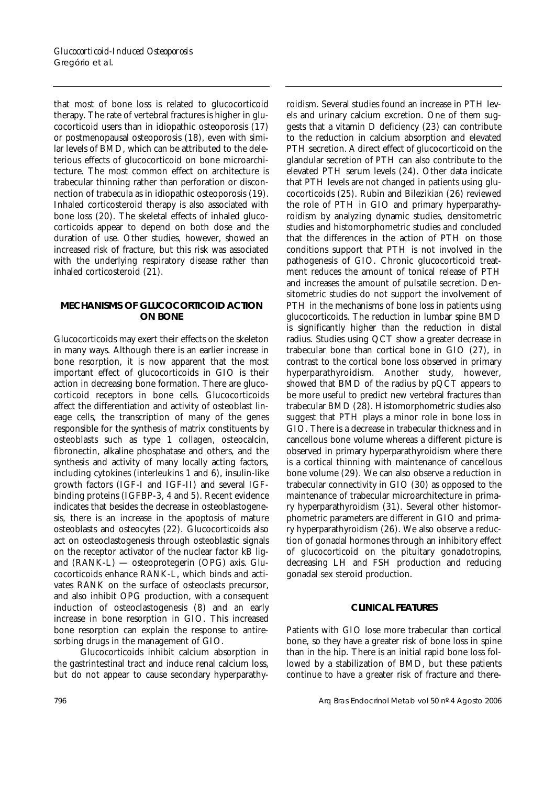that most of bone loss is related to glucocorticoid therapy. The rate of vertebral fractures is higher in glucocorticoid users than in idiopathic osteoporosis (17) or postmenopausal osteoporosis (18), even with similar levels of BMD, which can be attributed to the deleterious effects of glucocorticoid on bone microarchitecture. The most common effect on architecture is trabecular thinning rather than perforation or disconnection of trabecula as in idiopathic osteoporosis (19). Inhaled corticosteroid therapy is also associated with bone loss (20). The skeletal effects of inhaled glucocorticoids appear to depend on both dose and the duration of use. Other studies, however, showed an increased risk of fracture, but this risk was associated with the underlying respiratory disease rather than inhaled corticosteroid (21).

# **MECHANISMS OF GLUCOCORTICOID ACTION ON BONE**

Glucocorticoids may exert their effects on the skeleton in many ways. Although there is an earlier increase in bone resorption, it is now apparent that the most important effect of glucocorticoids in GIO is their action in decreasing bone formation. There are glucocorticoid receptors in bone cells. Glucocorticoids affect the differentiation and activity of osteoblast lineage cells, the transcription of many of the genes responsible for the synthesis of matrix constituents by osteoblasts such as type 1 collagen, osteocalcin, fibronectin, alkaline phosphatase and others, and the synthesis and activity of many locally acting factors, including cytokines (interleukins 1 and 6), insulin-like growth factors (IGF-I and IGF-II) and several IGFbinding proteins (IGFBP-3, 4 and 5). Recent evidence indicates that besides the decrease in osteoblastogenesis, there is an increase in the apoptosis of mature osteoblasts and osteocytes (22). Glucocorticoids also act on osteoclastogenesis through osteoblastic signals on the receptor activator of the nuclear factor kB ligand (RANK-L) — osteoprotegerin (OPG) axis. Glucocorticoids enhance RANK-L, which binds and activates RANK on the surface of osteoclasts precursor, and also inhibit OPG production, with a consequent induction of osteoclastogenesis (8) and an early increase in bone resorption in GIO. This increased bone resorption can explain the response to antiresorbing drugs in the management of GIO.

Glucocorticoids inhibit calcium absorption in the gastrintestinal tract and induce renal calcium loss, but do not appear to cause secondary hyperparathyroidism. Several studies found an increase in PTH levels and urinary calcium excretion. One of them suggests that a vitamin D deficiency (23) can contribute to the reduction in calcium absorption and elevated PTH secretion. A direct effect of glucocorticoid on the glandular secretion of PTH can also contribute to the elevated PTH serum levels (24). Other data indicate that PTH levels are not changed in patients using glucocorticoids (25). Rubin and Bilezikian (26) reviewed the role of PTH in GIO and primary hyperparathyroidism by analyzing dynamic studies, densitometric studies and histomorphometric studies and concluded that the differences in the action of PTH on those conditions support that PTH is not involved in the pathogenesis of GIO. Chronic glucocorticoid treatment reduces the amount of tonical release of PTH and increases the amount of pulsatile secretion. Densitometric studies do not support the involvement of PTH in the mechanisms of bone loss in patients using glucocorticoids. The reduction in lumbar spine BMD is significantly higher than the reduction in distal radius. Studies using QCT show a greater decrease in trabecular bone than cortical bone in GIO (27), in contrast to the cortical bone loss observed in primary hyperparathyroidism. Another study, however, showed that BMD of the radius by pQCT appears to be more useful to predict new vertebral fractures than trabecular BMD (28). Histomorphometric studies also suggest that PTH plays a minor role in bone loss in GIO. There is a decrease in trabecular thickness and in cancellous bone volume whereas a different picture is observed in primary hyperparathyroidism where there is a cortical thinning with maintenance of cancellous bone volume (29). We can also observe a reduction in trabecular connectivity in GIO (30) as opposed to the maintenance of trabecular microarchitecture in primary hyperparathyroidism (31). Several other histomorphometric parameters are different in GIO and primary hyperparathyroidism (26). We also observe a reduction of gonadal hormones through an inhibitory effect of glucocorticoid on the pituitary gonadotropins, decreasing LH and FSH production and reducing gonadal sex steroid production.

# **CLINICAL FEATURES**

Patients with GIO lose more trabecular than cortical bone, so they have a greater risk of bone loss in spine than in the hip. There is an initial rapid bone loss followed by a stabilization of BMD, but these patients continue to have a greater risk of fracture and there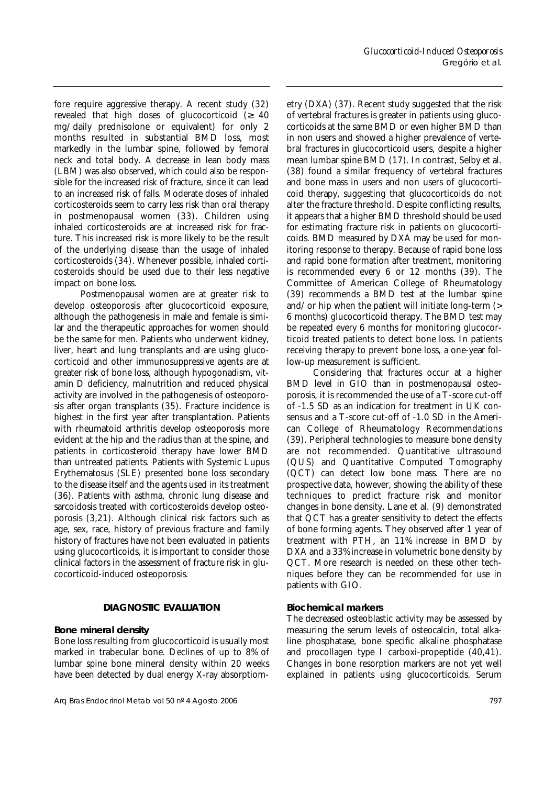fore require aggressive therapy. A recent study (32) revealed that high doses of glucocorticoid  $(≥ 40$ mg/daily prednisolone or equivalent) for only 2 months resulted in substantial BMD loss, most markedly in the lumbar spine, followed by femoral neck and total body. A decrease in lean body mass (LBM) was also observed, which could also be responsible for the increased risk of fracture, since it can lead to an increased risk of falls. Moderate doses of inhaled corticosteroids seem to carry less risk than oral therapy in postmenopausal women (33). Children using inhaled corticosteroids are at increased risk for fracture. This increased risk is more likely to be the result of the underlying disease than the usage of inhaled corticosteroids (34). Whenever possible, inhaled corticosteroids should be used due to their less negative impact on bone loss.

Postmenopausal women are at greater risk to develop osteoporosis after glucocorticoid exposure, although the pathogenesis in male and female is similar and the therapeutic approaches for women should be the same for men. Patients who underwent kidney, liver, heart and lung transplants and are using glucocorticoid and other immunosuppressive agents are at greater risk of bone loss, although hypogonadism, vitamin D deficiency, malnutrition and reduced physical activity are involved in the pathogenesis of osteoporosis after organ transplants (35). Fracture incidence is highest in the first year after transplantation. Patients with rheumatoid arthritis develop osteoporosis more evident at the hip and the radius than at the spine, and patients in corticosteroid therapy have lower BMD than untreated patients. Patients with Systemic Lupus Erythematosus (SLE) presented bone loss secondary to the disease itself and the agents used in its treatment (36). Patients with asthma, chronic lung disease and sarcoidosis treated with corticosteroids develop osteoporosis (3,21). Although clinical risk factors such as age, sex, race, history of previous fracture and family history of fractures have not been evaluated in patients using glucocorticoids, it is important to consider those clinical factors in the assessment of fracture risk in glucocorticoid-induced osteoporosis.

# **DIAGNOSTIC EVALUATION**

### **Bone mineral density**

Bone loss resulting from glucocorticoid is usually most marked in trabecular bone. Declines of up to 8% of lumbar spine bone mineral density within 20 weeks have been detected by dual energy X-ray absorptiometry (DXA) (37). Recent study suggested that the risk of vertebral fractures is greater in patients using glucocorticoids at the same BMD or even higher BMD than in non users and showed a higher prevalence of vertebral fractures in glucocorticoid users, despite a higher mean lumbar spine BMD (17). In contrast, Selby et al. (38) found a similar frequency of vertebral fractures and bone mass in users and non users of glucocorticoid therapy, suggesting that glucocorticoids do not alter the fracture threshold. Despite conflicting results, it appears that a higher BMD threshold should be used for estimating fracture risk in patients on glucocorticoids. BMD measured by DXA may be used for monitoring response to therapy. Because of rapid bone loss and rapid bone formation after treatment, monitoring is recommended every 6 or 12 months (39). The Committee of American College of Rheumatology (39) recommends a BMD test at the lumbar spine and/or hip when the patient will initiate long-term (> 6 months) glucocorticoid therapy. The BMD test may be repeated every 6 months for monitoring glucocorticoid treated patients to detect bone loss. In patients receiving therapy to prevent bone loss, a one-year follow-up measurement is sufficient.

Considering that fractures occur at a higher BMD level in GIO than in postmenopausal osteoporosis, it is recommended the use of a T-score cut-off of -1.5 SD as an indication for treatment in UK consensus and a T-score cut-off of -1.0 SD in the American College of Rheumatology Recommendations (39). Peripheral technologies to measure bone density are not recommended. Quantitative ultrasound (QUS) and Quantitative Computed Tomography (QCT) can detect low bone mass. There are no prospective data, however, showing the ability of these techniques to predict fracture risk and monitor changes in bone density. Lane et al. (9) demonstrated that QCT has a greater sensitivity to detect the effects of bone forming agents. They observed after 1 year of treatment with PTH, an 11% increase in BMD by DXA and a 33% increase in volumetric bone density by QCT. More research is needed on these other techniques before they can be recommended for use in patients with GIO.

### **Biochemical markers**

The decreased osteoblastic activity may be assessed by measuring the serum levels of osteocalcin, total alkaline phosphatase, bone specific alkaline phosphatase and procollagen type I carboxi-propeptide (40,41). Changes in bone resorption markers are not yet well explained in patients using glucocorticoids. Serum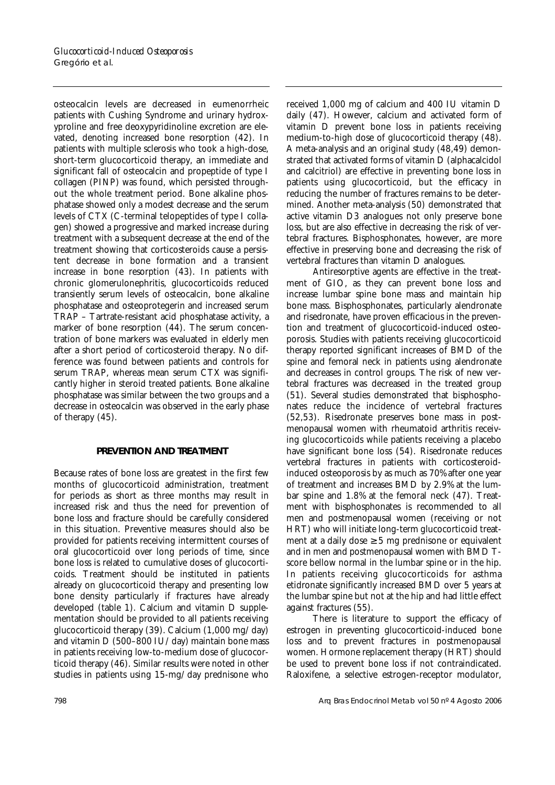osteocalcin levels are decreased in eumenorrheic patients with Cushing Syndrome and urinary hydroxyproline and free deoxypyridinoline excretion are elevated, denoting increased bone resorption (42). In patients with multiple sclerosis who took a high-dose, short-term glucocorticoid therapy, an immediate and significant fall of osteocalcin and propeptide of type I collagen (PINP) was found, which persisted throughout the whole treatment period. Bone alkaline phosphatase showed only a modest decrease and the serum levels of CTX (C-terminal telopeptides of type I collagen) showed a progressive and marked increase during treatment with a subsequent decrease at the end of the treatment showing that corticosteroids cause a persistent decrease in bone formation and a transient increase in bone resorption (43). In patients with chronic glomerulonephritis, glucocorticoids reduced transiently serum levels of osteocalcin, bone alkaline phosphatase and osteoprotegerin and increased serum TRAP – Tartrate-resistant acid phosphatase activity, a marker of bone resorption (44). The serum concentration of bone markers was evaluated in elderly men after a short period of corticosteroid therapy. No difference was found between patients and controls for serum TRAP, whereas mean serum CTX was significantly higher in steroid treated patients. Bone alkaline phosphatase was similar between the two groups and a decrease in osteocalcin was observed in the early phase of therapy (45).

# **PREVENTION AND TREATMENT**

Because rates of bone loss are greatest in the first few months of glucocorticoid administration, treatment for periods as short as three months may result in increased risk and thus the need for prevention of bone loss and fracture should be carefully considered in this situation. Preventive measures should also be provided for patients receiving intermittent courses of oral glucocorticoid over long periods of time, since bone loss is related to cumulative doses of glucocorticoids. Treatment should be instituted in patients already on glucocorticoid therapy and presenting low bone density particularly if fractures have already developed (table 1). Calcium and vitamin D supplementation should be provided to all patients receiving glucocorticoid therapy (39). Calcium  $(1,000 \text{ mg}/\text{day})$ and vitamin D (500–800 IU/day) maintain bone mass in patients receiving low-to-medium dose of glucocorticoid therapy (46). Similar results were noted in other studies in patients using 15-mg/day prednisone who

received 1,000 mg of calcium and 400 IU vitamin D daily (47). However, calcium and activated form of vitamin D prevent bone loss in patients receiving medium-to-high dose of glucocorticoid therapy (48). A meta-analysis and an original study (48,49) demonstrated that activated forms of vitamin D (alphacalcidol and calcitriol) are effective in preventing bone loss in patients using glucocorticoid, but the efficacy in reducing the number of fractures remains to be determined. Another meta-analysis (50) demonstrated that active vitamin D3 analogues not only preserve bone loss, but are also effective in decreasing the risk of vertebral fractures. Bisphosphonates, however, are more effective in preserving bone and decreasing the risk of vertebral fractures than vitamin D analogues.

Antiresorptive agents are effective in the treatment of GIO, as they can prevent bone loss and increase lumbar spine bone mass and maintain hip bone mass. Bisphosphonates, particularly alendronate and risedronate, have proven efficacious in the prevention and treatment of glucocorticoid-induced osteoporosis. Studies with patients receiving glucocorticoid therapy reported significant increases of BMD of the spine and femoral neck in patients using alendronate and decreases in control groups. The risk of new vertebral fractures was decreased in the treated group (51). Several studies demonstrated that bisphosphonates reduce the incidence of vertebral fractures (52,53). Risedronate preserves bone mass in postmenopausal women with rheumatoid arthritis receiving glucocorticoids while patients receiving a placebo have significant bone loss (54). Risedronate reduces vertebral fractures in patients with corticosteroidinduced osteoporosis by as much as 70% after one year of treatment and increases BMD by 2.9% at the lumbar spine and 1.8% at the femoral neck (47). Treatment with bisphosphonates is recommended to all men and postmenopausal women (receiving or not HRT) who will initiate long-term glucocorticoid treatment at a daily dose  $\geq$  5 mg prednisone or equivalent and in men and postmenopausal women with BMD Tscore bellow normal in the lumbar spine or in the hip. In patients receiving glucocorticoids for asthma etidronate significantly increased BMD over 5 years at the lumbar spine but not at the hip and had little effect against fractures (55).

There is literature to support the efficacy of estrogen in preventing glucocorticoid-induced bone loss and to prevent fractures in postmenopausal women. Hormone replacement therapy (HRT) should be used to prevent bone loss if not contraindicated. Raloxifene, a selective estrogen-receptor modulator,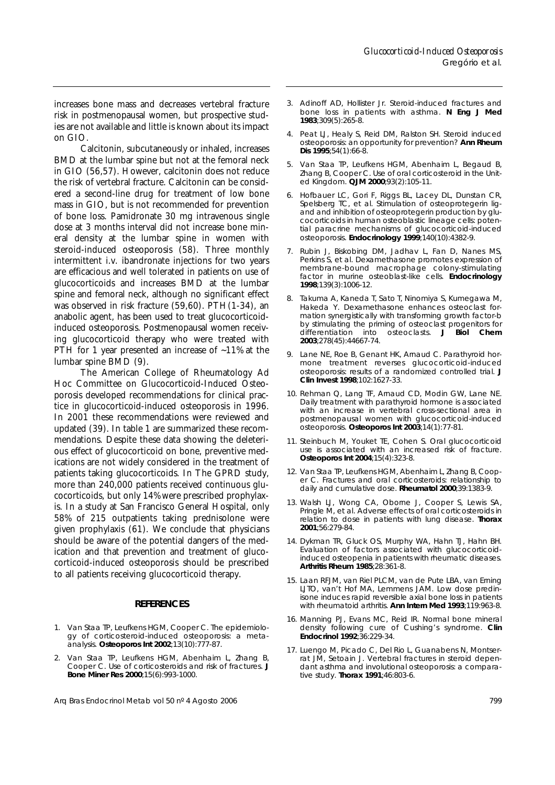increases bone mass and decreases vertebral fracture risk in postmenopausal women, but prospective studies are not available and little is known about its impact on GIO.

Calcitonin, subcutaneously or inhaled, increases BMD at the lumbar spine but not at the femoral neck in GIO (56,57). However, calcitonin does not reduce the risk of vertebral fracture. Calcitonin can be considered a second-line drug for treatment of low bone mass in GIO, but is not recommended for prevention of bone loss. Pamidronate 30 mg intravenous single dose at 3 months interval did not increase bone mineral density at the lumbar spine in women with steroid-induced osteoporosis (58). Three monthly intermittent i.v. ibandronate injections for two years are efficacious and well tolerated in patients on use of glucocorticoids and increases BMD at the lumbar spine and femoral neck, although no significant effect was observed in risk fracture (59,60). PTH(1-34), an anabolic agent, has been used to treat glucocorticoidinduced osteoporosis. Postmenopausal women receiving glucocorticoid therapy who were treated with PTH for 1 year presented an increase of  $~11\%$  at the lumbar spine BMD (9).

The American College of Rheumatology Ad Hoc Committee on Glucocorticoid-Induced Osteoporosis developed recommendations for clinical practice in glucocorticoid-induced osteoporosis in 1996. In 2001 these recommendations were reviewed and updated (39). In table 1 are summarized these recommendations. Despite these data showing the deleterious effect of glucocorticoid on bone, preventive medications are not widely considered in the treatment of patients taking glucocorticoids. In The GPRD study, more than 240,000 patients received continuous glucocorticoids, but only 14% were prescribed prophylaxis. In a study at San Francisco General Hospital, only 58% of 215 outpatients taking prednisolone were given prophylaxis (61). We conclude that physicians should be aware of the potential dangers of the medication and that prevention and treatment of glucocorticoid-induced osteoporosis should be prescribed to all patients receiving glucocorticoid therapy.

#### **REFERENCES**

- 1. Van Staa TP, Leufkens HGM, Cooper C. The epidemiology of corticosteroid-induced osteoporosis: a metaanalysis. **Osteoporos Int 2002**;13(10):777-87.
- 2. Van Staa TP, Leufkens HGM, Abenhaim L, Zhang B, Cooper C. Use of corticosteroids and risk of fractures. **J Bone Miner Res 2000**;15(6):993-1000.

Arq Bras Endocrinol Metab vol 50 nº 4 Agosto 2006 **799** and the state of the state of the state of the state of the state of the state of the state of the state of the state of the state of the state of the state of the st

- 3. Adinoff AD, Hollister Jr. Steroid-induced fractures and bone loss in patients with asthma. **N Eng J Med 1983**;309(5):265-8.
- Peat LJ, Healy S, Reid DM, Ralston SH. Steroid induced osteoporosis: an opportunity for prevention? **Ann Rheum Dis 1995**;54(1):66-8.
- 5. Van Staa TP, Leufkens HGM, Abenhaim L, Begaud B, Zhang B, Cooper C. Use of oral corticosteroid in the United Kingdom. **QJM 2000**;93(2):105-11.
- 6. Hofbauer LC, Gori F, Riggs BL, Lacey DL, Dunstan CR, Spelsberg TC, et al. Stimulation of osteoprotegerin ligand and inhibition of osteoprotegerin production by glucocorticoids in human osteoblastic lineage cells: potential paracrine mechanisms of glucocorticoid-induced osteoporosis. **Endocrinology 1999**;140(10):4382-9.
- 7. Rubin J, Biskobing DM, Jadhav L, Fan D, Nanes MS, Perkins S, et al. Dexamethasone promotes expression of membrane-bound macrophage colony-stimulating factor in murine osteoblast-like cells. **Endocrinology 1998**;139(3):1006-12.
- 8. Takuma A, Kaneda T, Sato T, Ninomiya S, Kumegawa M, Hakeda Y. Dexamethasone enhances osteoclast formation synergistically with transforming growth factor-b by stimulating the priming of osteoclast progenitors for<br>differentiation into osteoclasts **J Biol Chem** differentiation into osteoclasts. **J Biol 2003**;278(45):44667-74.
- 9. Lane NE, Roe B, Genant HK, Arnaud C. Parathyroid hormone treatment reverses glucocorticoid-induced osteoporosis: results of a randomized controlled trial. **J Clin Invest 1998**;102:1627-33.
- 10. Rehman Q, Lang TF, Arnaud CD, Modin GW, Lane NE. Daily treatment with parathyroid hormone is associated with an increase in vertebral cross-sectional area in postmenopausal women with glucocorticoid-induced osteoporosis. **Osteoporos Int 2003**;14(1):77-81.
- 11. Steinbuch M, Youket TE, Cohen S. Oral glucocorticoid use is associated with an increased risk of fracture. **Osteoporos Int 2004**;15(4):323-8.
- 12. Van Staa TP, Leufkens HGM, Abenhaim L, Zhang B, Cooper C. Fractures and oral corticosteroids: relationship to daily and cumulative dose. **Rheumatol 2000**;39:1383-9.
- 13. Walsh LJ, Wong CA, Oborne J, Cooper S, Lewis SA, Pringle M, et al. Adverse effects of oral corticosteroids in relation to dose in patients with lung disease. **Thorax 2001**;56:279-84.
- 14. Dykman TR, Gluck OS, Murphy WA, Hahn TJ, Hahn BH. Evaluation of factors associated with glucocorticoidinduced osteopenia in patients with rheumatic diseases. **Arthritis Rheum 1985**;28:361-8.
- 15. Laan RFJM, van Riel PLCM, van de Pute LBA, van Erning LJTO, van't Hof MA, Lemmens JAM. Low dose predinisone induces rapid reversible axial bone loss in patients with rheumatoid arthritis. **Ann Intern Med 1993**;119:963-8.
- 16. Manning PJ, Evans MC, Reid IR. Normal bone mineral density following cure of Cushing's syndrome. **Clin Endocrinol 1992**;36:229-34.
- 17. Luengo M, Picado C, Del Rio L, Guanabens N, Montserrat JM, Setoain J. Vertebral fractures in steroid dependant asthma and involutional osteoporosis: a comparative study. **Thorax 1991**;46:803-6.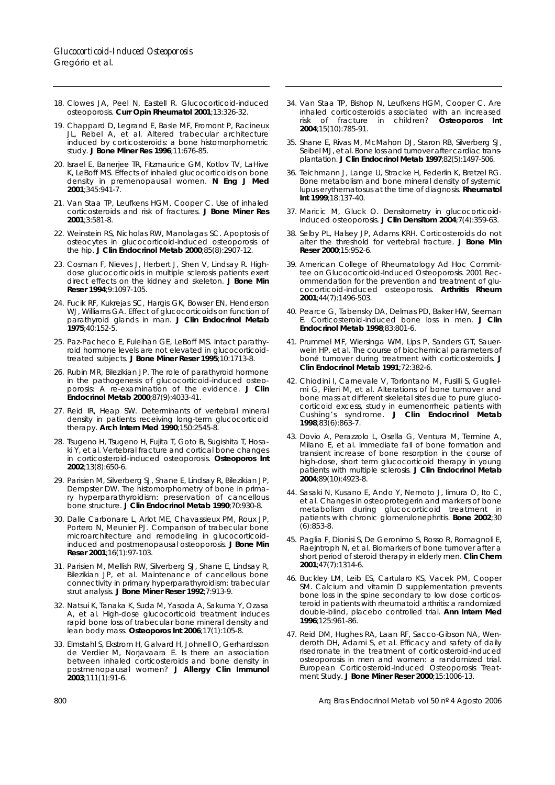- 18. Clowes JA, Peel N, Eastell R. Glucocorticoid-induced osteoporosis. **Curr Opin Rheumatol 2001**;13:326-32.
- 19. Chappard D, Legrand E, Basle MF, Fromont P, Racineux JL, Rebel A, et al. Altered trabecular architecture induced by corticosteroids: a bone histomorphometric study. **J Bone Miner Res 1996**;11:676-85.
- 20. Israel E, Banerjee TR, Fitzmaurice GM, Kotlov TV, LaHive K, LeBoff MS. Effects of inhaled glucocorticoids on bone density in premenopausal women. **N Eng J Med 2001**;345:941-7.
- 21. Van Staa TP, Leufkens HGM, Cooper C. Use of inhaled corticosteroids and risk of fractures. **J Bone Miner Res 2001**;3:581-8.
- 22. Weinstein RS, Nicholas RW, Manolagas SC. Apoptosis of osteocytes in glucocorticoid-induced osteoporosis of the hip. **J Clin Endocrinol Metab 2000**;85(8):2907-12.
- 23. Cosman F, Nieves J, Herbert J, Shen V, Lindsay R. Highdose glucocorticoids in multiple sclerosis patients exert direct effects on the kidney and skeleton. **J Bone Min Reser 1994**;9:1097-105.
- 24. Fucik RF, Kukrejas SC, Hargis GK, Bowser EN, Henderson WJ, Williams GA. Effect of glucocorticoids on function of parathyroid glands in man. J Clin Endocrinol Metab **1975**;40:152-5.
- 25. Paz-Pacheco E, Fuleihan GE, LeBoff MS. Intact parathyroid hormone levels are not elevated in glucocorticoidtreated subjects. **J Bone Miner Reser 1995**;10:1713-8.
- 26. Rubin MR, Bilezikian JP. The role of parathyroid hormone in the pathogenesis of glucocorticoid-induced osteoporosis: A re-examination of the evidence. **J Clin Endocrinol Metab 2000**;87(9):4033-41.
- 27. Reid IR, Heap SW. Determinants of vertebral mineral density in patients receiving long-term glucocorticoid therapy. **Arch Intern Med 1990**;150:2545-8.
- 28. Tsugeno H, Tsugeno H, Fujita T, Goto B, Sugishita T, Hosaki Y, et al. Vertebral fracture and cortical bone changes in corticosteroid-induced osteoporosis. **Osteoporos Int 2002**;13(8):650-6.
- 29. Parisien M, Silverberg SJ, Shane E, Lindsay R, Bilezikian JP, Dempster DW. The histomorphometry of bone in primary hyperparathyroidism: preservation of cancellous bone structure. **J Clin Endocrinol Metab 1990**;70:930-8.
- 30. Dalle Carbonare L, Arlot ME, Chavassieux PM, Roux JP, Portero N, Meunier PJ. Comparison of trabecular bone microarchitecture and remodeling in glucocorticoidinduced and postmenopausal osteoporosis. **J Bone Min Reser 2001**;16(1):97-103.
- 31. Parisien M, Mellish RW, Silverberg SJ, Shane E, Lindsay R, Bilezikian JP, et al. Maintenance of cancellous bone connectivity in primary hyperparathyroidism: trabecular strut analysis. **J Bone Miner Reser 1992**;7:913-9.
- 32. Natsui K, Tanaka K, Suda M, Yasoda A, Sakuma Y, Ozasa A, et al. High-dose glucocorticoid treatment induces rapid bone loss of trabecular bone mineral density and lean body mass. **Osteoporos Int 2006**;17(1):105-8.
- 33. Elmstahl S, Ekstrom H, Galvard H, Johnell O, Gerhardsson de Verdier M, Norjavaara E. Is there an association between inhaled corticosteroids and bone density in postmenopausal women? **J Allergy Clin Immunol 2003**;111(1):91-6.
- 34. Van Staa TP, Bishop N, Leufkens HGM, Cooper C. Are inhaled corticosteroids associated with an increased risk of fracture in children? **Osteoporos Int 2004**;15(10):785-91.
- 35. Shane E, Rivas M, McMahon DJ, Staron RB, Silverberg SJ, Seibel MJ, et al. Bone loss and turnover after cardiac transplantation. **J Clin Endocrinol Metab 1997**;82(5):1497-506.
- 36. Teichmann J, Lange U, Stracke H, Federlin K, Bretzel RG. Bone metabolism and bone mineral density of systemic lupus erythematosus at the time of diagnosis. **Rheumatol Int 1999**;18:137-40.
- 37. Maricic M, Gluck O. Densitometry in glucocorticoidinduced osteoporosis. **J Clin Densitom 2004**;7(4):359-63.
- 38. Selby PL, Halsey JP, Adams KRH. Corticosteroids do not alter the threshold for vertebral fracture. **J Bone Min Reser 2000**;15:952-6.
- 39. American College of Rheumatology Ad Hoc Committee on Glucocorticoid-Induced Osteoporosis. 2001 Recommendation for the prevention and treatment of glucocorticoid-induced osteoporosis. **Arthritis Rheum 2001**;44(7):1496-503.
- 40. Pearce G, Tabensky DA, Delmas PD, Baker HW, Seeman E. Corticosteroid-induced bone loss in men. **J Clin Endocrinol Metab 1998**;83:801-6.
- 41. Prummel MF, Wiersinga WM, Lips P, Sanders GT, Sauerwein HP. et al. The course of biochemical parameters of boné turnover during treatment with corticosteroids. **J Clin Endocrinol Metab 1991**;72:382-6.
- 42. Chiodini I, Carnevale V, Torlontano M, Fusilli S, Guglielmi G, Pileri M, et al. Alterations of bone turnover and bone mass at different skeletal sites due to pure glucocorticoid excess, study in eumenorrheic patients with Cushing's syndrome. **J Clin Endocrinol Metab 1998**;83(6):863-7.
- 43. Dovio A, Perazzolo L, Osella G, Ventura M, Termine A, Milano E, et al. Immediate fall of bone formation and transient increase of bone resorption in the course of high-dose, short term glucocorticoid therapy in young patients with multiple sclerosis. **J Clin Endocrinol Metab 2004**;89(10):4923-8.
- 44. Sasaki N, Kusano E, Ando Y, Nemoto J, Iimura O, Ito C, et al. Changes in osteoprotegerin and markers of bone metabolism during glucocorticoid treatment in patients with chronic glomerulonephritis. **Bone 2002**;30 (6):853-8.
- 45. Paglia F, Dionisi S, De Geronimo S, Rosso R, Romagnoli E, Raejntroph N, et al. Biomarkers of bone turnover after a short period of steroid therapy in elderly men. **Clin Chem 2001**;47(7):1314-6.
- 46. Buckley LM, Leib ES, Cartularo KS, Vacek PM, Cooper SM. Calcium and vitamin D supplementation prevents bone loss in the spine secondary to low dose corticosteroid in patients with rheumatoid arthritis: a randomized double-blind, placebo controlled trial. **Ann Intern Med 1996**;125:961-86.
- 47. Reid DM, Hughes RA, Laan RF, Sacco-Gibson NA, Wenderoth DH, Adami S, et al. Efficacy and safety of daily risedronate in the treatment of corticosteroid-induced osteoporosis in men and women: a randomized trial. European Corticosteroid-Induced Osteoporosis Treatment Study. **J Bone Miner Reser 2000**;15:1006-13.

800 Arq Bras Endocrinol Metab vol 50 nº 4 Agosto 2006